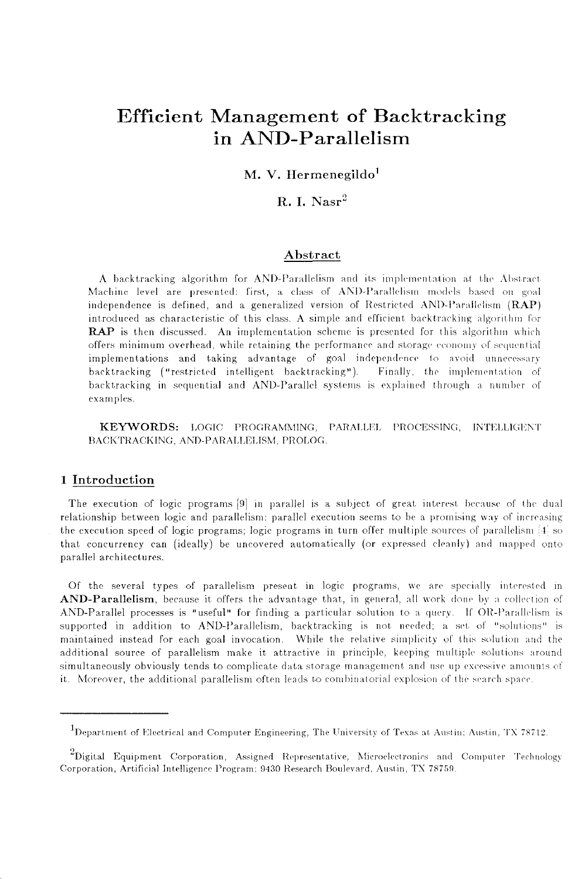# Efficient Management of Backtracking in AND-Parallelism

## M. V. Hermenegildo<sup>1</sup>

## R. I.  $Nasr^2$

## Abstract

A backtracking algorithm for AND-Parallelism and its implementation at the Abstract Machine level are presented: first, a class of AND-Parallelism models based on goal independence is defined, and a generalized version of Restricted AND-Parallelism  $(RAP)$ introduced as characteristic of this class. A simple and efficient backtracking algorithm for **RAP** is then discussed. An implementation scheme is presented for this algorithm which offers minimum overhead, while retaining the performance and storage economy of sequent ial implementations and taking advantage of goal independence to avoid unnecessary backtracking ("restricted intelligent backtracking"). Finally, the implementation of backtracking in sequential and AND-Parallel systems is explained through a number of examples.

**KEYWORDS :** LOGIC PROGRAMMING, PARALLEL PROCESSING, INTELLIGENT BACKTRACKING, AND-PARALLELISM, PROLOG.

## 1 Introduction

The execution of logic programs  $[9]$  in parallel is a subject of great interest because of the dual relationship between logic and parallelism: parallel execution seems to be a promising way of increasing the execution speed of logic programs; logic programs in turn offer multiple sources of parallelism  $\ket{4}$  so that concurrency can (ideally) be uncovered automatically (or expressed cleanly) and mapped onto parallel architectures.

Of the several types of parallelism present in logic programs, we are specially interested in AND-Parallelism, because it offers the advantage that, in general, all work done by a collection of AND-Parallel processes is "useful" for finding a particular solution to a query. If OR-Parallelism is supported in addition to AND-Parallelism, backtracking is not needed; a set of "solutions" is maintained instead for each goal invocation. While the relative simplicity of this solution and the additional source of parallelism make it attractive in principle, keeping multiple solutions around simultaneously obviously tends to complicate data storage management and use up excessive amounts of it. Moreover, the additional parallelism often leads to combinatorial explosion of the search space.

 $^1$ Department of Electrical and Computer Engineering, The University of Texas at Austin; Austin, TX 78712.

 ${}^{2}$ Digital Equipment Corporation, Assigned Representative, Microelectronics and Computer Technology Corporation, Artificial Intelligence Program: 9430 Research Boulevard, Austin, TX 78759.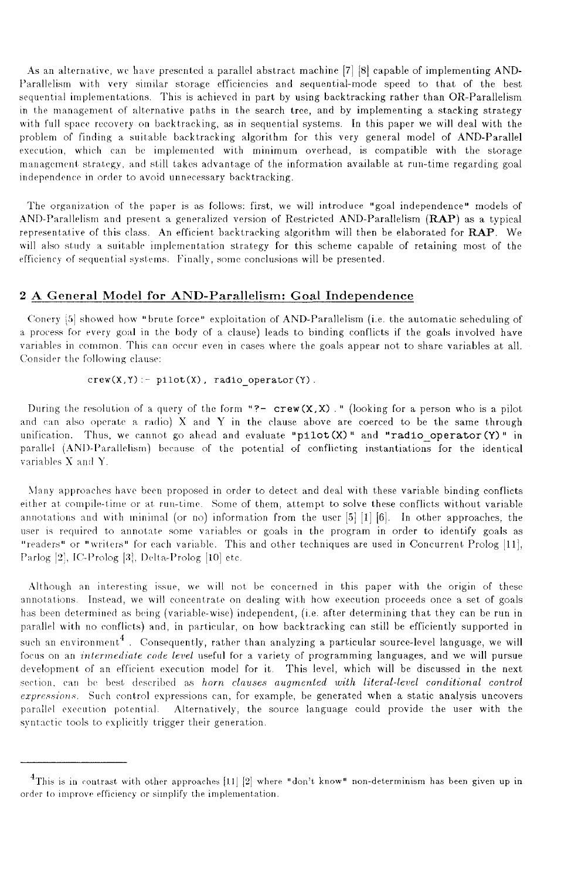As an alternative, we have presented a parallel abstract machine [7] [8] capable of implementing AND-Parallelism with very similar storage efficiencies and sequential-mode speed to that of the best sequential implementations. This is achieved in part by using backtracking rather than OR-Parallelism in the management of alternative paths in the search tree, and by implementing a stacking strategy with full space recovery on backtracking, as in sequential systems. In this paper we will deal with the problem of finding a suitable backtracking algorithm for this very general model of AND-Parallel execution, which can be implemented with minimum overhead, is compatible with the storage management strategy, and still takes advantage of the information available at run-time regarding goal independence in order to avoid unnecessary backtracking.

The organization of the paper is as follows: first, we will introduce "goal independence" models of AND-Parallelism and present a generalized version of Restricted AND-Parallelism **(RAP)** as a typical representative of this class. An efficient backtracking algorithm will then be elaborated for **RAP.** We will also study a suitable implementation strategy for this scheme capable of retaining most of the efficiency of sequential systems. Finally, some conclusions will be presented.

#### 2 A General Model for AND-Parallelism: Goal Independence

Conery !5j showed how "brute force" exploitation of AND-Parallelism (i.e. the automatic scheduling of a process for every goal in the body of a clause) leads to binding conflicts if the goals involved have variables in common. This can occur even in cases where the goals appear not to share variables at all. Consider the following clause:

 $crew(X,Y) := pilot(X)$ , radio operator(Y).

During the resolution of a query of the form "?-  $\text{crew}(X,X)$ ." (looking for a person who is a pilot and can also operate a radio) X and Y in the clause above are coerced to be the same through unification. Thus, we cannot go ahead and evaluate " $p11ot(X)$ " and "radio operator $(Y)$ " in parallel (AND-Parallelism) because of the potential of conflicting instantiations for the identical variables X and Y.

Many approaches have been proposed in order to detect and deal with these variable binding conflicts either at compile-time or at run-time. Some of them, attempt to solve these conflicts without variable annotations and with minimal (or no) information from the user [5] [1] [6]. In other approaches, the user is required to annotate some variables or goals in the program in order to identify goals as "readers" or "writers" for each variable. This and other techniques are used in Concurrent Prolog [11], Parlog  $[2]$ , IC-Prolog  $[3]$ , Delta-Prolog  $[10]$  etc.

Although an interesting issue, we will not be concerned in this paper with the origin of these annotations. Instead, we will concentrate on dealing with how execution proceeds once a set of goals has been determined as being (variable-wise) independent, (i.e. after determining that they can be run in parallel with no conflicts) and, in particular, on how backtracking can still be efficiently supported in such an environment<sup>4</sup>. Consequently, rather than analyzing a particular source-level language, we will focus on an *intermediate code level* useful for a variety of programming languages, and we will pursue development of an efficient execution model for it. This level, which will be discussed in the next section, can be best described as *horn clauses augmented with literal-level conditional control expressions.* Such control expressions can, for example, be generated when a static analysis uncovers parallel execution potential. Alternatively, the source language could provide the user with the syntactic tools to explicitly trigger their generation.

<sup>&</sup>lt;sup>4</sup>This is in contrast with other approaches [11] [2] where "don't know" non-determinism has been given up in order to improve efficiency or simplify the implementation.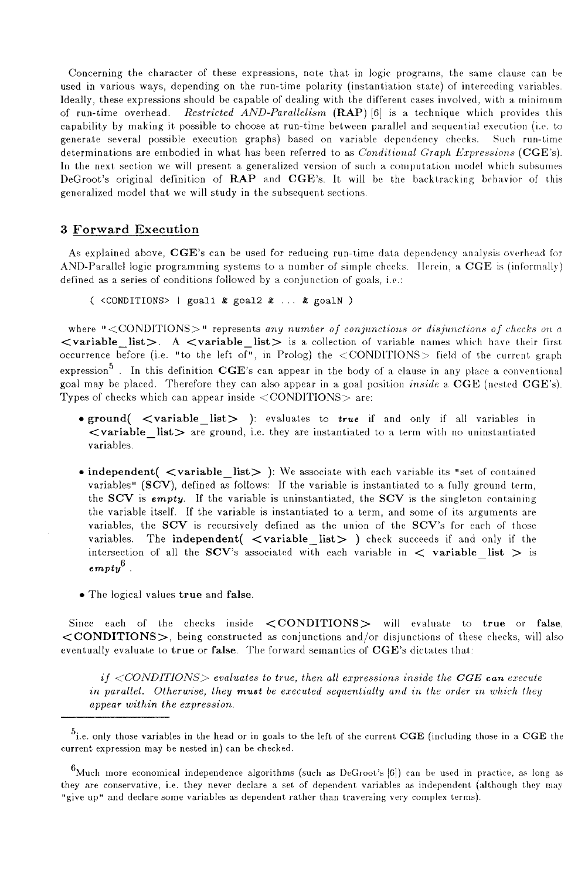Concerning the character of these expressions, note that in logic programs, the same clause can be used in various ways, depending on the run-time polarity (instantiation state) of interceding variables. Ideally, these expressions should be capable of dealing with the different cases involved, with a minimum of run-time overhead. *Restricted AND-Parallelism* **(RAP)** [6] is a technique which provides this capability by making it possible to choose at run-time between parallel and sequential execution (i.e. to generate several possible execution graphs) based on variable dependency checks. Such run-time determinations are embodied in what has been referred to as *Conditional Graph Expressions* (CGE's). In the next section we will present a generalized version of such a computation model which subsumes DeGroot's original definition of **RAP** and CGE's. It will be the backtracking behavior of this generalized model that we will study in the subsequent sections.

### 3 Forward Execution

As explained above, **CGE's** can be used for reducing run-time data dependency analysis overhead for AND-Parallel logic programming systems to a number of simple checks. Herein, a **CGE** is (informally) defined as a series of conditions followed by a conjunction of goals, i.e.:

( <CONDITIONS> I goall & goal2 & ... *&* goalN )

where "<CONDITIONS>" represents any number of conjunctions or disjunctions of checks on a < **variable list > . A <variable\_list >** is a collection of variable names which have their first occurrence before (i.e. "to the left of", in Prolog) the  $\langle$  CONDITIONS $>$  field of the current graph expression<sup>5</sup>. In this definition **CGE**'s can appear in the body of a clause in any place a conventional goal may be placed. Therefore they can also appear in a goal position *inside* a **CGE** (nested CGE's). Types of checks which can appear inside  $\langle$  CONDITIONS $\rangle$  are:

- •**ground** <variable list> ): evaluates to *true* if and only if all variables in < **variable\_list** > are ground, i.e. they are instantiated to a term with no uninstantiated variables.
- **independent** (<variable list>): We associate with each variable its "set of contained variables" **(SCV),** defined as follows: If the variable is instantiated to a fully ground term, the **SCV** is *empty.* **If** the variable is uninstantiated, the **SCV** is the singleton containing the variable itself. If the variable is instantiated to a term, and some of its arguments are variables, the **SCV** is recursively defined as the union of the SCV's for each of those variables. The independent( <variable\_list> ) check succeeds if and only if the intersection of all the **SCV**'s associated with each variable in  $\lt$  **variable** list  $>$  is  $\epsilon m$ *pty*<sup>6</sup>.
- The logical values **true** and **false.**

Since each of the checks inside < **CONDITIONS** > will evaluate to **true** or **false, < CONDITIONS** > , being constructed as conjunctions and/or disjunctions of these checks, will also eventually evaluate to **true** or **false.** The forward semantics of CGE's dictates that:

*if <CONDITIONS> evaluates to true, then all expressions inside the CGE can execute in parallel. Otherwise, they must be executed sequentially and in the order in which they appear within the expression.* 

i.e. only those variables in the head or in goals to the left of the current **CGE** (including those in a **CGE** the current expression may be nested in) can be checked.

 $^{6}$ Much more economical independence algorithms (such as DeGroot's [6]) can be used in practice, as long as they are conservative, i.e. they never declare a set of dependent variables as independent (although they may "give up" and declare some variables as dependent rather than traversing very complex terms).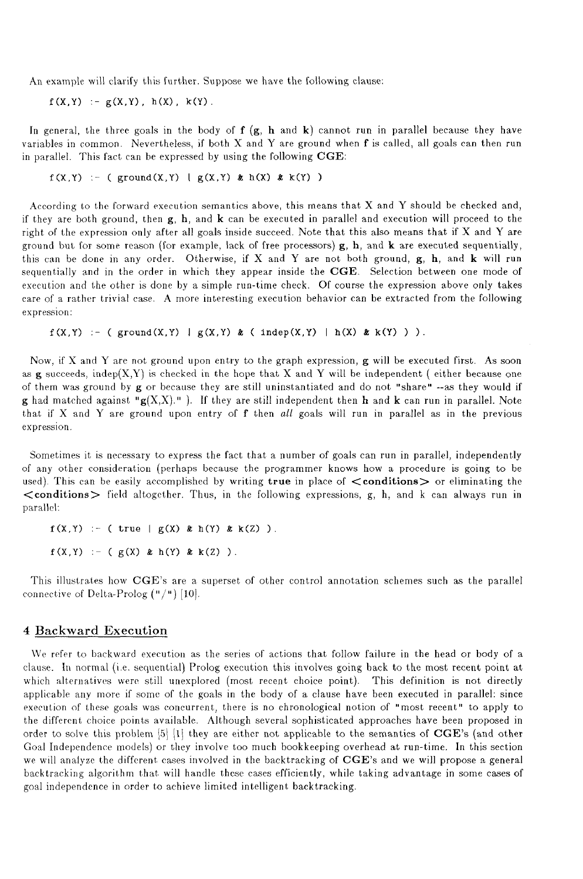An example will clarify this further. Suppose we have the following clause:

 $f(X,Y) := g(X,Y), h(X), k(Y).$ 

In general, the three goals in the body of  $f(g, h$  and  $k)$  cannot run in parallel because they have variables in common. Nevertheless, if both X and Y are ground when f is called, all goals can then run in parallel. This fact can be expressed by using the following **CGE:** 

 $f(X,Y) := ($  ground $(X,Y) | g(X,Y) \& h(X) \& k(Y)$ 

According to the forward execution semantics above, this means that X and Y should be checked and, if they are both ground, then  $g$ ,  $h$ , and  $k$  can be executed in parallel and execution will proceed to the right of the expression only after all goals inside succeed. Note that this also means that if X and Y are ground but for some reason (for example, lack of free processors) g, h, and k are executed sequentially, this can be done in any order. Otherwise, if X and Y are not both ground,  $g$ ,  $h$ , and  $k$  will run sequentially and in the order in which they appear inside the **CGE.** Selection between one mode of execution and the other is done by a simple run-time check. Of course the expression above only takes care of a rather trivial case. A more interesting execution behavior can be extracted from the following expression:

 $f(X,Y)$  :- (  $ground(X,Y)$  |  $g(X,Y)$  & (  $indep(X,Y)$  |  $h(X)$  &  $k(Y)$  ) ).

Now, if X and Y are not ground upon entry to the graph expression, g will be executed first. As soon as g succeeds, indep(X,Y) is checked in the hope that X and Y will be independent (either because one of them was ground by g or because they are still uninstantiated and do not "share" —as they would if  $g$  had matched against " $g(X,X)$ ."). If they are still independent then h and k can run in parallel. Note that if X and Y are ground upon entry of f then *all* goals will run in parallel as in the previous expression.

Sometimes it is necessary to express the fact that a number of goals can run in parallel, independently of any other consideration (perhaps because the programmer knows how a procedure is going to be used). This can be easily accomplished by writing **true** in place of < **conditions** > or eliminating the < **conditions** > field altogether. Thus, in the following expressions, g, h, and k can always run in parallel:

 $f(X,Y)$  :- ( true |  $g(X)$  & h(Y) & k(Z) ).  $f(X,Y) := (g(X) \& h(Y) \& k(Z) ).$ 

This illustrates how CGE's are a superset of other control annotation schemes such as the parallel connective of Delta-Prolog  $(\sqrt[n]{n})$  [10].

#### 4 Backward Execution

We refer to backward execution as the series of actions that follow failure in the head or body of a clause. In normal (i.e. sequential) Prolog execution this involves going back to the most recent point at which alternatives were still unexplored (most recent choice point). This definition is not directly applicable any more if some of the goals in the body of a clause have been executed in parallel: since execution of these goals was concurrent, there is no chronological notion of "most recent" to apply to the different choice points available. Although several sophisticated approaches have been proposed in order to solve this problem **[5]** [lj they are either not applicable to the semantics of CGE's (and other Goal Independence models) or they involve too much bookkeeping overhead at run-time. In this section we will analyze the different cases involved in the backtracking of CGE's and we will propose a general backtracking algorithm that will handle these cases efficiently, while taking advantage in some cases of goal independence in order to achieve limited intelligent backtracking.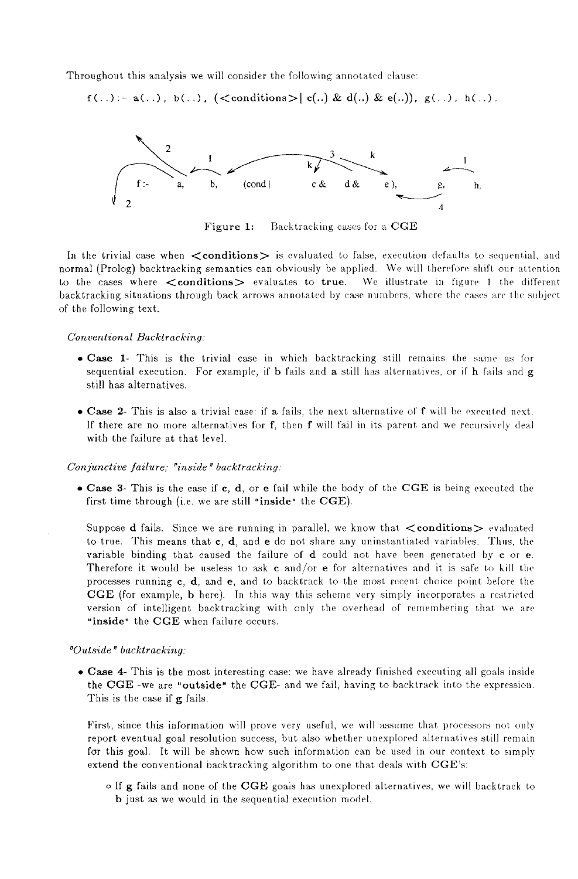Throughout this analysis we will consider the following annotated clause:

f(..): - a(..), b(..),  $\langle$  < conditions >  $| c(.) \& d(.) \& e(.)$ , g(..), h(..).



Figure 1: Backtracking cases for a CGE

In the trivial case when  $\lt$ **conditions** is evaluated to false, execution defaults to sequential, and normal (Prolog) backtracking semantics can obviously be applied. We will therefore shift our attention to the cases where **<conditions >** evaluates to **true.** We illustrate in figure 1 the different backtracking situations through back arrows annotated by case numbers, where the cases arc the subject of the following text.

#### *Conventional Backtracking:*

- • **Case 1-** This is the trivial case in which backtracking still remains the same as for sequential execution. For example, if b fails and **a** still has alternatives, or if h fails and g still has alternatives.
- • **Case 2-** This is also a trivial case: if **a** fails, the next alternative of f will be executed next. If there are no more alternatives for f, then f will fail in its parent and we recursively deal with the failure at that level.

## *Conjunctive failure; "inside " backtracking:*

• Case 3- This is the case if c, d, or e fail while the body of the CGE is being executed the first time through (i.e. we are still **"inside"** the **CGE).** 

Suppose **d** fails. Since we are running in parallel, we know that **<conditions >** evaluated to true. This means that c, d, and **e** do not share any uninstantiated variables. Thus, the variable binding that caused the failure of **d** could not have been generated by **c** or e. Therefore it would be useless to ask **c** and/or **e** for alternatives and it is safe to kill the processes running c, d, and e, and to backtrack to the most recent choice point before the **C GE** (for example, b here). In this way this scheme very simply incorporates a restricted version of intelligent backtracking with only the overhead of remembering that we are **"inside"** the **CGE** when failure occurs.

#### *"Outside" backtracking:*

• **Case 4-** This is the most interesting case: we have already finished executing all goals inside the **CGE** -we are **"outside"** the **CGE-** and we fail, having to backtrack into the expression. This is the case if g fails.

First, since this information will prove very useful, we will assume that processors not only report eventual goal resolution success, but also whether unexplored alternatives still remain for this goal. It will be shown how such information can be used in our context to simply extend the conventional backtracking algorithm to one that deals with CGE's:

o If g fails and none of the **CGE** goais has unexplored alternatives, we will backtrack to b just as we would in the sequential execution model.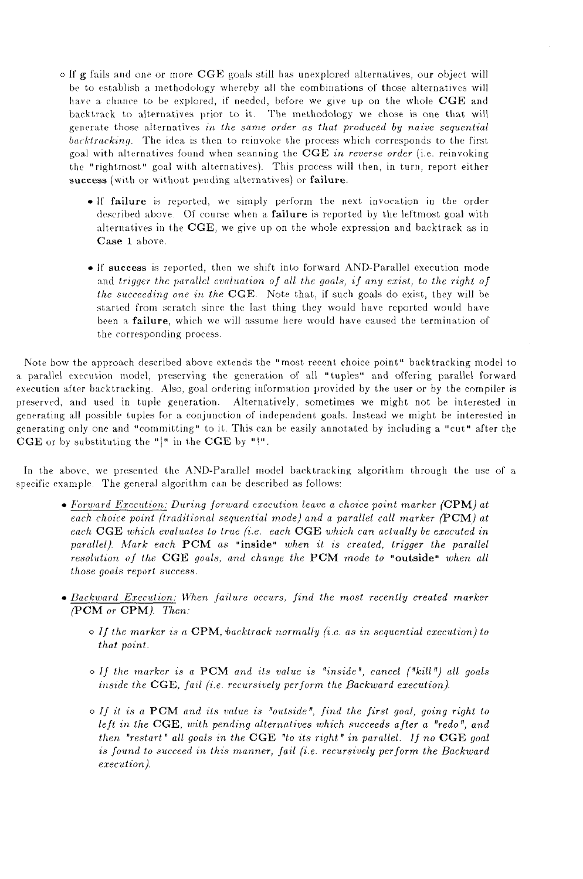- o If g fails and one or more **CGE** goals still has unexplored alternatives, our object will be to establish a methodology whereby all the combinations of those alternatives **will**  have a chance to be explored, if needed, before we give up on the whole **CGE** and backtrack to alternatives prior to it. The methodology we chose is one that will generate those alternatives *in the same order as that produced by naive sequential backtracking.* The idea is then to reinvoke the process which corresponds to the first goal with alternatives found when scanning the **CGE** *in reverse order* (i.e. reinvoking the "rightmost" goal with alternatives). This process will then, in turn, report either **success** (with or without pending alternatives) or **failure.** 
	- **If failure** is reported, we simply perform the next invocation in the order described above. Of course when a **failure** is reported by the leftmost goal with alternatives in the **CGE,** we give up on the whole expression and backtrack as in **Case 1** above.
	- • **If success** is reported, then we shift into forward AND-Parallel execution mode and *trigger the parallel evaluation of all the goals, if any exist, to the right of the succeeding one in the* CGE. Note that, if such goals do exist, they will be started from scratch since the last thing they would have reported would have been a **failure, which** we **will** assume here would have caused the termination of the corresponding process.

Note how the approach described above extends the "most recent choice point" backtracking model to a parallel execution model, preserving the generation of all "tuples" and offering parallel forward execution after backtracking. Also, goal ordering information provided by the user or by the compiler is preserved, and used in tuple generation. Alternatively, sometimes we might not be interested in generating all possible tuples for a conjunction of independent goals. Instead we might be interested in generating only one and "committing" to it. This can be easily annotated by including a "cut" after the **CGE** or by substituting the "|" in the **CGE** by "!".

In the above, we presented the AND-Parallel model backtracking algorithm through the use of a specific example. The general algorithm can be described as follows:

- Forward Execution: During forward execution leave a choice point marker (CPM) at *each choice point (traditional sequential mode) and a parallel call marker (PCM) at each* **CGE** *which evaluates to true (i.e. each* **CGE** *which can actually be executed in parallel). Mark each* **PCM** *as* **"inside"** *when it is created, trigger the parallel resolution of the* **CGE** *goals, and change the* **PCM** *mode to* **"outside"** *when all those goals report success.*
- • *Backward Execution: When failure occurs, find the most recently created marker*  **(PCM** *or* **CPMj.** *Then:* 
	- o *If the marker is a* **CPM,** *•backtrack normally (i.e. as in sequential execution) to that point.*
	- o / / *the marker is a* **PCM** *and its value is "inside", cancel ("kill") all goals inside the* CGE, *fail (i.e. recursively perform the Backward execution).*
	- o *If it is a* **PCM** *and its value is "outside", find the first goal, going right to left in the* CGE, *with pending alternatives which succeeds after a "redo", and then "restart" all goals in the* **CGE** *"to its right" in parallel. If no* **CGE** *goal is found to succeed in this manner, fail (i.e. recursively perform the Backward execution).*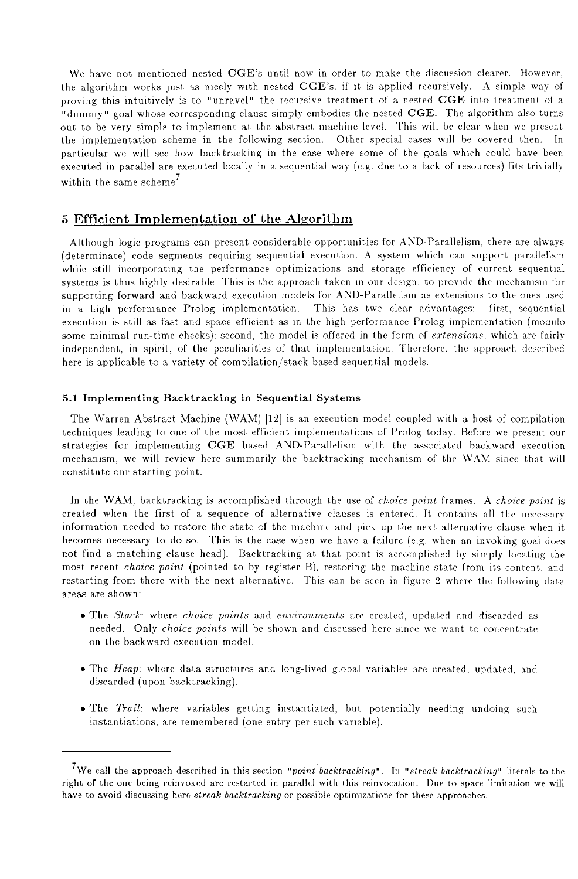We have not mentioned nested CGE's until now in order to make the discussion clearer. However, the algorithm works just as nicely with nested  $CGE$ 's, if it is applied recursively. A simple way of proving this intuitively is to "unravel" the recursive treatment of a nested **CGE** into treatment of a "dummy" goal whose corresponding clause simply embodies the nested **CGE.** The algorithm also turns out to be very simple to implement at the abstract machine level. This will be clear when we present the implementation scheme in the following section. Other special cases will be covered then. In particular we will see how backtracking in the case where some of the goals which could have been executed in parallel are executed locally in a sequential way (e.g. due to a lack of resources) fits trivially within the same scheme<sup>7</sup>.

## **5 Efficient Implementation of the Algorithm**

Although logic programs can present considerable opportunities for AND-Parallelism, there are always (determinate) code segments requiring sequential execution. A system which can support parallelism while still incorporating the performance optimizations and storage efficiency of current sequential systems is thus highly desirable. This is the approach taken in our design: to provide the mechanism for supporting forward and backward execution models for AND-Parallelism as extensions to the ones used in a high performance Prolog implementation. This has two clear advantages'. first, sequential execution is still as fast and space efficient as in the high performance Prolog implementation (modulo some minimal run-time checks); second, the model is offered in the form of *extensions,* which are fairly independent, in spirit, of the peculiarities of that implementation. Therefore, the approach described here is applicable to a variety of compilation/stack based sequential models.

#### **5.1 Implementing Backtracking in Sequential** Systems

The Warren Abstract Machine (WAM) [12] is an execution model coupled with a host of compilation techniques leading to one of the most efficient implementations of Prolog today. Before we present our strategies for implementing **CGE** based AND-Parallelism with the associated backward execution mechanism, we will review here summarily the backtracking mechanism of the WAM since that will constitute our starting point.

In the WAM, backtracking is accomplished through the use of *choice point* frames. A *choice point* is created when the first of a sequence of alternative clauses is entered. It contains all the necessary information needed to restore the state of the machine and pick up the next alternative clause when it becomes necessary to do so. This is the case when we have a failure (e.g. when an invoking goal does not find a matching clause head). Backtracking at that point is accomplished by simply locating the most recent *choice point* (pointed to by register B), restoring the machine state from its content, and restarting from there with the next alternative. This can be seen in figure 2 where the following data areas are shown:

- The *Stack:* where *choice points* and *environments* are created, updated and discarded as needed. Only *choice points* will be shown and discussed here since we want to concentrate on the backward execution model.
- The *Heap:* where data structures and long-lived global variables are created, updated, and discarded (upon backtracking).
- The *Trail:* where variables getting instantiated, but potentially needing undoing such instantiations, are remembered (one entry per such variable).

We call the approach described in this section *"point backtracking".* In *"streak backtracking"* literals to the right of the one being reinvoked are restarted in parallel with this reinvocation. Due to space limitation we will have to avoid discussing here *streak backtracking* or possible optimizations for these approaches.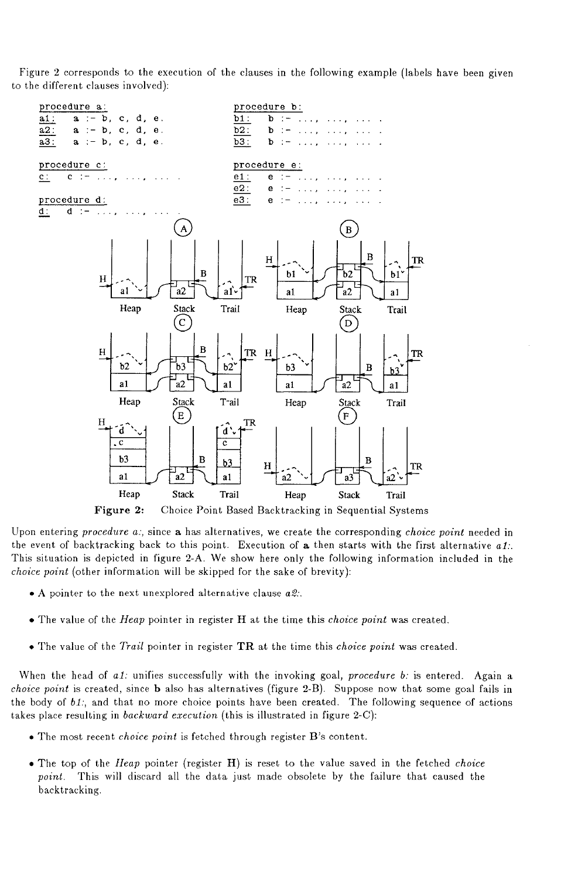Figure 2 corresponds to the execution of the clauses in the following example (labels have been given to the different clauses involved):



Figure 2: Choice Point Based Backtracking in Sequential Systems

Upon entering *procedure a:,* since a has alternatives, we create the corresponding *choice point* needed in the event of backtracking back to this point. Execution of a then starts with the first alternative *al:.*  This situation is depicted in figure 2-A. We show here only the following information included in the *choice point* (other information will be skipped for the sake of brevity):

- A pointer to the next unexplored alternative clause *aS:.*
- The value of the *Heap* pointer in register H at the time this *choice point* was created.
- The value of the *Trail* pointer in register TR at the time this *choice point* was created.

When the head of *al:* unifies successfully with the invoking goal, *procedure b:* is entered. Again a *choice point* is created, since b also has alternatives (figure 2-B). Suppose now that some goal fails in the body of *bl:,* and that no more choice points have been created. The following sequence of actions takes place resulting in *backward execution* (this is illustrated in figure 2-C):

- The most recent *choice point* is fetched through register B's content.
- The top of the *Heap* pointer (register H) is reset to the value saved in the fetched *choice point.* This will discard all the data just made obsolete by the failure that caused the backtracking.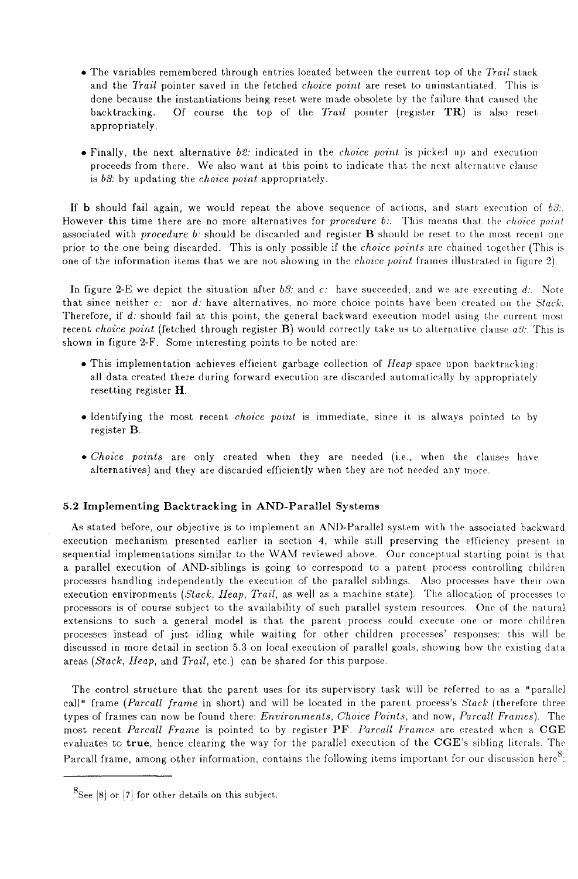- The variables remembered through entries located between the current top of the *Trail* stack and the *Trail* pointer saved in the fetched *choice point* are reset to uninstantiated. This is done because the instantiations being reset were made obsolete by the failure that caused the backtracking. Of course the top of the *Trail* pointer (register TR) is also reset appropriately.
- Finally, the next alternative *bS:* indicated in the *choice point* is picked up and execution proceeds from there. We also want at this point to indicate that the next alternative clause is *bS:* by updating the *choice point* appropriately.

If b should fail again, we would repeat the above sequence of actions, and start execution of *bS:.*  However this time there are no more alternatives for *procedure b:.* This means that the *choice point*  associated with *procedure b:* should be discarded and register B should be reset to the most recent one prior to the one being discarded. This is only possible if the *choice points* are chained together (This is one of the information items that we are not showing in the *choice point* frames illustrated in figure 2).

In figure 2-E we depict the situation after *bS:* and *c:* have succeeded, and we are executing *d:.* Note that since neither *c:* nor *d:* have alternatives, no more choice points have been created on the *Stack.*  Therefore, if *d:* should fail at this point, the general backward execution model using the current most recent *choice point* (fetched through register B) would correctly take us to alternative clause *a8:.* This is shown in figure 2-F. Some interesting points to be noted are:

- This implementation achieves efficient garbage collection of *Heap* space upon backtracking: all data created there during forward execution are discarded automatically by appropriately resetting register H.
- Identifying the most recent *choice point* is immediate, since it is always pointed to by register B.
- • *Choice points* are only created when they are needed (i.e., when the clauses have alternatives) and they are discarded efficiently when they are not needed any more.

#### **5.2 Implementing Backtracking in AND-Paralle l Systems**

As stated before, our objective is to implement an AND-Parallel system with the associated backward execution mechanism presented earlier in section *4,* while still preserving the efficiency present in sequential implementations similar to the WAM reviewed above. Our conceptual starting point is that a parallel execution of AND-siblings is going to correspond to a parent process controlling children processes handling independently the execution of the parallel siblings. Also processes have their own execution environments *(Slack, Heap, Trail,* as well as a machine state). The allocation of processes to processors is of course subject to the availability of such parallel system resources. One of the natural extensions to such a general model is that the parent process could execute one or more children processes instead of just idling while waiting for other children processes' responses: this will be discussed in more detail in section 5.3 on local execution of parallel goals, showing how the existing data areas *(Stack, Heap,* and *Trail,* etc.) can be shared for this purpose.

The control structure that the parent uses for its supervisory task will be referred to as a "parallel call" frame *(Parcall frame* in short) and will be located in the parent process's *Stack* (therefore three types of frames can now be found there: *Environments, Choice Points,* and now, *Parcall Frames).* The most recent *Parcall Frame* is pointed to by register PF . *Parcall Frames* are created when a CGE evaluates to **true,** hence clearing the way for the parallel execution of the CGE's sibling literals. The Parcall frame, among other information, contains the following items important for our discussion here<sup>8</sup>:

 $8$ See [8] or [7] for other details on this subject.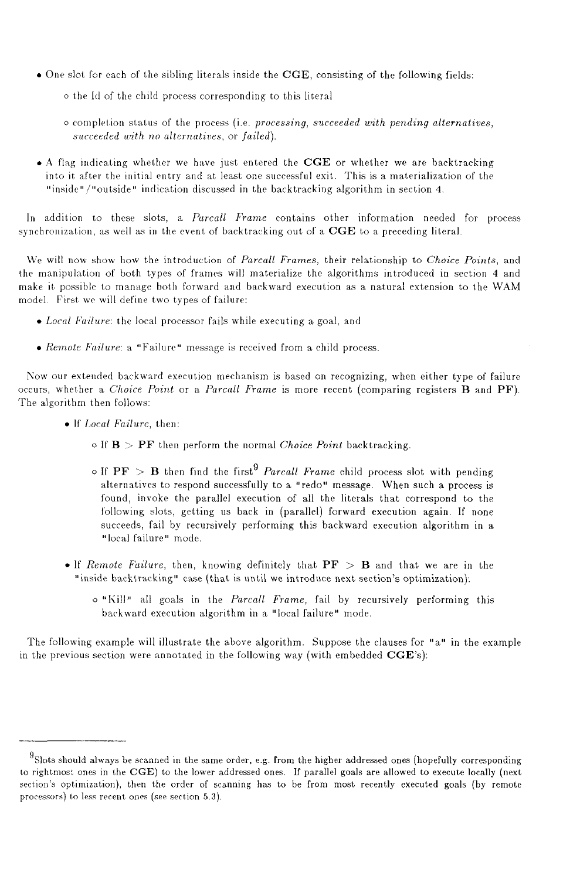- One slot for each of the sibling literals inside the CGE, consisting of the following fields:
	- o the Id of the child process corresponding to this literal
	- o completion status of the process (i.e. *processing, succeeded with pending alternatives, succeeded with no alternatives,* or *failed).*
- A flag indicating whether we have just entered the CGE or whether we are backtracking into it after the initial entry and at least one successful exit. This is a materialization of the "inside"/"outside" indication discussed in the backtracking algorithm in section 4.

In addition to these slots, a *Parcall Frame* contains other information needed for process synchronization, as well as in the event of backtracking out of a  $\mathbf{CGE}$  to a preceding literal.

We will now show how the introduction of *Parcall Frames,* their relationship to *Choice Points,* and the manipulation of both types of frames will materialize the algorithms introduced in section 4 and make it possible to manage both forward and backward execution as a natural extension to the WAM model. First we will define two types of failure:

- • *Local Failure-,* the local processor fails while executing a goal, and
- • *Remote Failure:* a "Failure" message is received from a child process.

Now our extended backward execution mechanism is based on recognizing, when either type of failure occurs, whether a *Choice Point* or a *Parcall Frame* is more recent (comparing registers B and PF). The algorithm then follows:

- If *Local Failure,* then:
	- $\circ$  If  $B > PF$  then perform the normal *Choice Point* backtracking.
	- $\circ$  If  $PF > B$  then find the first<sup>9</sup> Parcall Frame child process slot with pending alternatives to respond successfully to a "redo" message. When such a process is found, invoke the parallel execution of all the literals that correspond to the following slots, getting us back in (parallel) forward execution again. If none succeeds, fail by recursively performing this backward execution algorithm in a "local failure" mode.
- If *Remote Failure*, then, knowing definitely that PF > B and that we are in the "inside backtracking" case (that is until we introduce next section's optimization):
	- o "Kill" all goals in the *Parcall Frame,* fail by recursively performing this backward execution algorithm in a "local failure" mode.

The following example will illustrate the above algorithm. Suppose the clauses for "a" in the example in the previous section were annotated in the following way (with embedded CGE's):

 $^{9}$ Slots should always be scanned in the same order, e.g. from the higher addressed ones (hopefully corresponding to rightmost ones in the CGE) to the lower addressed ones. If parallel goals are allowed to execute locally (next section's optimization), then the order of scanning has to be from most recently executed goals (by remote processors) to less recent ones (see section 5.3).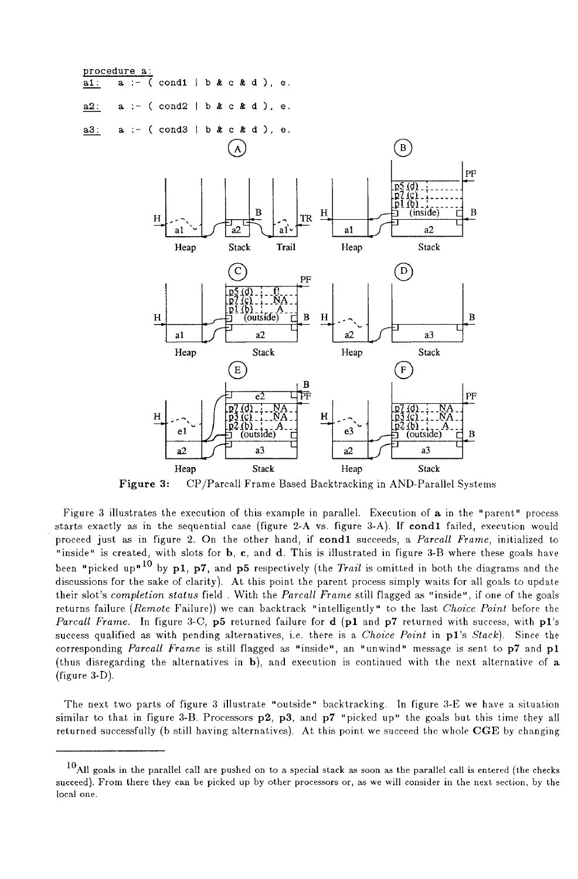

Figure 3: CP/Parcall Frame Based Backtracking in AND-Parallel Systems

Figure 3 illustrates the execution of this example in parallel. Execution of **a** in the "parent" process starts exactly as in the sequential case (figure 2-A vs. figure 3-A). If **condl** failed, execution would proceed just as in figure 2. On the other hand, if **condl** succeeds, a *Parcall Frame,* initialized to "inside" is created, with slots for b, c, and d. This is illustrated in figure 3-B where these goals have been "picked up"<sup>10</sup> by p1, p7, and p5 respectively (the *Trail* is omitted in both the diagrams and the discussions for the sake of clarity). At this point the parent process simply waits for all goals to update their slot's *completion status* field . With the *Parcall Frame* still flagged as "inside", if one of the goals returns failure *(Remote* Failure)) we can backtrack "intelligently" to the last *Choice Point* before the Parcall Frame. In figure 3-C, p5 returned failure for d (p1 and p7 returned with success, with p1's success qualified as with pending alternatives, i.e. there is a *Choice Point* in **pi's** *Stack).* Since the corresponding *Parcall Frame* is still flagged as "inside", an "unwind" message is sent to p7 and p1 (thus disregarding the alternatives in b), and execution is continued with the next alternative of a (figure 3-D).

The next two parts of figure 3 illustrate "outside" backtracking. In figure 3-E we have a situation similar to that in figure 3-B. Processors  $p2$ ,  $p3$ , and  $p7$  "picked up" the goals but this time they all returned successfully (b still having alternatives). At this point we succeed the whole **CGE** by changing

 $^{10}$ All goals in the parallel call are pushed on to a special stack as soon as the parallel call is entered (the checks succeed). From there they can be picked up by other processors or, as we will consider in the next section, by the local one.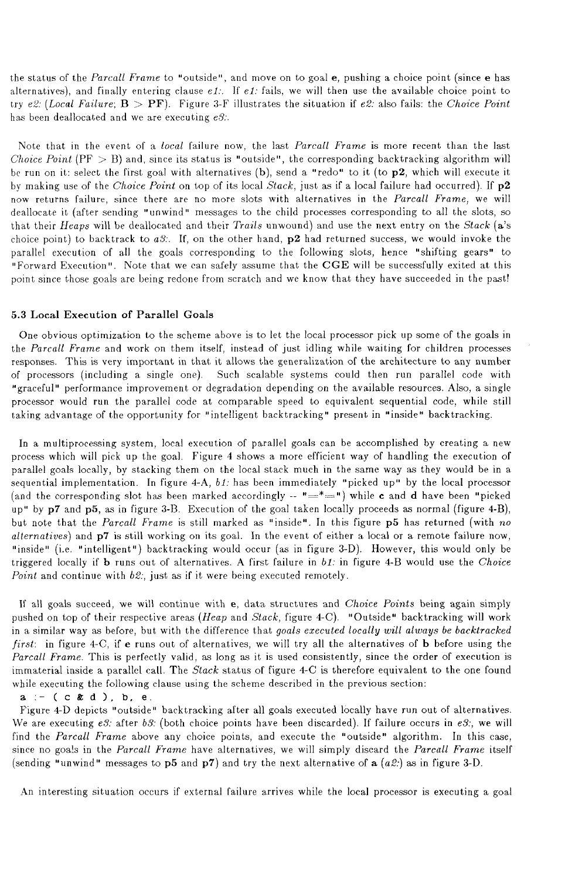the status of the *Parcall Frame* to "outside", and move on to goal e, pushing a choice point (since **e** has alternatives), and finally entering clause *el:.* If *el:* fails, we will then use the available choice point to try *e'2: [Local Failure;* B > PF). Figure 3-F illustrates the situation if *e2:* also fails: the *Choice Point*  has been deallocated and we are executing *eS:.* 

Note that in the event of a *local* failure now, the last *Parcall Frame* is more recent than the last *Choice Point* ( $PF > B$ ) and, since its status is "outside", the corresponding backtracking algorithm will be run on it: select the first goal with alternatives (b), send a "redo" to it (to p2, which will execute it by making use of the *Choice Point* on top of its local *Stack,* just as if a local failure had occurred). If p2 now returns failure, since there are no more slots with alternatives in the *Parcall Frame,* we will deallocate it (after sending "unwind" messages to the child processes corresponding to all the slots, so that their *Heaps* will be deallocated and their *Trails* unwound) and use the next entry on the *Stack* (a's choice point) to backtrack to *aS:.* If, on the other hand, p2 had returned success, we would invoke the parallel execution of all the goals corresponding to the following slots, hence "shifting gears" to "Forward Execution". Note that we can safely assume that the CGE will be successfully exited at this point since those goals are being redone from scratch and we know that they have succeeded in the past!

#### **5.3 Local Execution of Parallel Goals**

One obvious optimization to the scheme above is to let the local processor pick up some of the goals in the *Parcall Frame* and work on them itself, instead of just idling while waiting for children processes responses. This is very important in that it allows the generalization of the architecture to any number of processors (including a single one). Such scalable systems could then run parallel code with "graceful" performance improvement or degradation depending on the available resources. Also, a single processor would run the parallel code at comparable speed to equivalent sequential code, while still taking advantage of the opportunity for "intelligent backtracking" present in "inside" backtracking.

In a multiprocessing system, local execution of parallel goals can be accomplished by creating a new process which will pick up the goal. Figure 4 shows a more efficient way of handling the execution of parallel goals locally, by stacking them on the local stack much in the same way as they would be in a sequential implementation. In figure 4-A, *bl:* has been immediately "picked up" by the local processor (and the corresponding slot has been marked accordingly — "=\*=" ) while **c** and d have been "picked up" by  $p7$  and  $p5$ , as in figure 3-B. Execution of the goal taken locally proceeds as normal (figure 4-B), but note that the *Parcall Frame* is still marked as "inside". In this figure p5 has returned (with no *alternatives)* and p7 is still working on its goal. In the event of either a local or a remote failure now, "inside" (i.e. "intelligent") backtracking would occur (as in figure 3-D). However, this would only be triggered locally if b runs out of alternatives. A first failure in *bl:* in figure 4-B would use the *Choice Point* and continue with *b2:,* just as if it were being executed remotely.

If all goals succeed, we will continue with e, data structures and *Choice Points* being again simply pushed on top of their respective areas *(Heap* and *Stack,* figure 4-C). "Outside" backtracking will work in a similar way as before, but with the difference that *goals executed locally will always be backtracked first:* in figure 4-C, if **e** runs out of alternatives, we will try all the alternatives of b before using the *Parcall Frame.* This is perfectly valid, as long as it is used consistently, since the order of execution is immaterial inside a parallel call. The *Stack* status of figure 4-C is therefore equivalent to the one found while executing the following clause using the scheme described in the previous section:

**a** :- (c & d ), b, e.

Figure 4-D depicts "outside" backtracking after all goals executed locally have run out of alternatives. We are executing *eS:* after *bS:* (both choice points have been discarded). If failure occurs in *eS:,* we will find the *Parcall Frame* above any choice points, and execute the "outside" algorithm. In this case, since no goals in the *Parcall Frame* have alternatives, we will simply discard the *Parcall Frame* itself (sending "unwind" messages to p5 and p7) and try the next alternative of **a** *(aS:)* as in figure 3-D.

An interesting situation occurs if external failure arrives while the local processor is executing a goal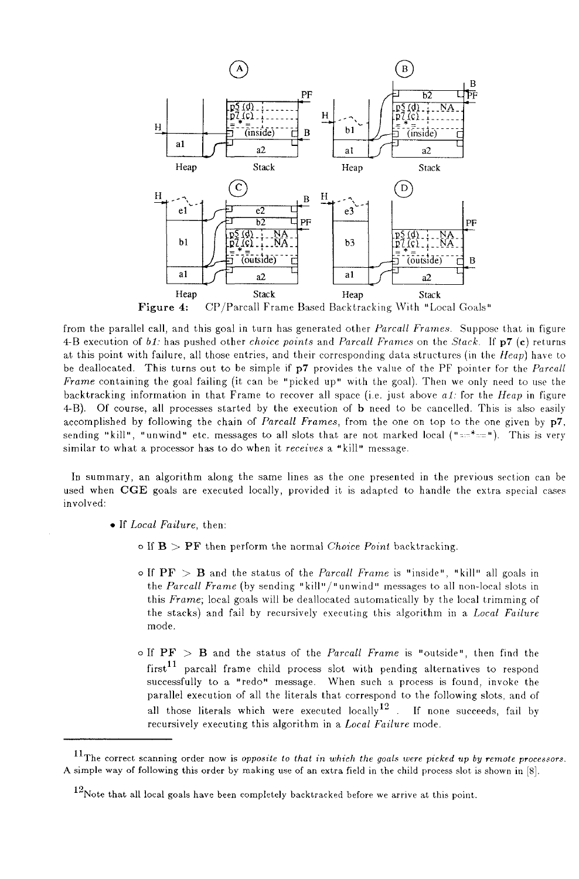

**Figure 4:**  CP/Parcall Frame Based Backtracking With "Local Goals"

from the parallel call, and this goal in turn has generated other *Parcall Frames.* Suppose that in figure 4-B execution of *bl:* has pushed other *choice points* and *Parcall Frames* on the *Stack.* If p7 (c) returns at this point with failure, all those entries, and their corresponding data structures (in the *Heap)* have to be deallocated. This turns out to be simple if p7 provides the value of the PF pointer for the *Parcall Frame* containing the goal failing (it can be "picked up" with the goal). Then we only need to use the backtracking information in that Frame to recover all space (i.e. just above *al:* for the *Heap* in figure 4-B). Of course, all processes started by the execution of b need to be cancelled. This is also easily accomplished by following the chain of *Parcall Frames,* from the one on top to the one given by p7. sending "kill", "unwind" etc. messages to all slots that are not marked local (" $=$ \* $=$ "). This is very similar to what a processor has to do when it *receives* a "kill" message.

In summary, an algorithm along the same lines as the one presented in the previous section can be used when **CGE** goals are executed locally, provided it is adapted to handle the extra special cases involved:

- If *Local Failure,* then:
	- $\circ$  If  $B > PF$  then perform the normal *Choice Point* backtracking.
	- $\circ$  If  $PF > B$  and the status of the *Parcall Frame* is "inside", "kill" all goals in the *Parcall Frame* (by sending "kill"/" unwind" messages to all non-local slots in this *Frame;* local goals will be deallocated automatically by the local trimming of the stacks) and fail by recursively executing this algorithm in a *Local Failure*  mode.
	- $\circ$  If  $PF > B$  and the status of the *Parcall Frame* is "outside", then find the  $first^{11}$  parcall frame child process slot with pending alternatives to respond successfully to a "redo" message. When such a process is found, invoke the parallel execution of all the literals that correspond to the following slots, and of all those literals which were executed locally  $1^2$ . If none succeeds, fail by recursively executing this algorithm in a *Local Failure* mode.

The correct scanning order now is *opposite to that in which the goals were picked up by remote processors.*  A simple way of following this order by making use of an extra field in the child process slot is shown in **[8].** 

 $^{12}$ Note that all local goals have been completely backtracked before we arrive at this point.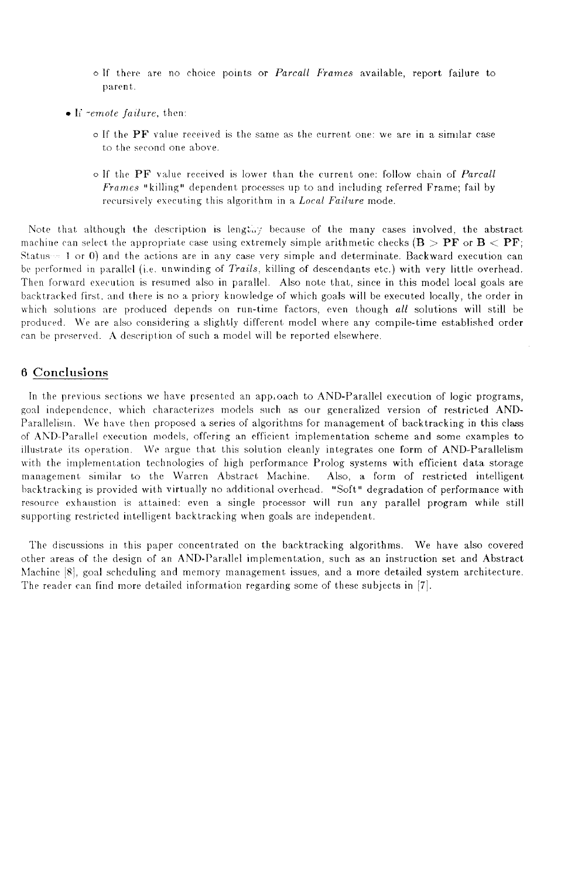- o If there are no choice points or *Parcall Frames* available, report failure to parent.
- If *~emote failure,* then:
	- $\circ$  If the PF value received is the same as the current one: we are in a similar case to the second one above.
	- o If the PF value received is lower than the current one: follow chain of *Parcall Frames* "killing" dependent processes up to and including referred Frame; fail by recursively executing this algorithm in a *Local Failure* mode.

Note that although the description is lengti.y because of the many cases involved, the abstract machine can select the appropriate case using extremely simple arithmetic checks ( $B > PF$  or  $B < PF$ ; Status 1 or 0) and the actions are in any case very simple and determinate. Backward execution can be performed in parallel (i.e. unwinding of *Trails,* killing of descendants etc.) with very little overhead. Then forward execution is resumed also in parallel. Also note that, since in this model local goals are backtracked first, and there is no a priory knowledge of which goals will be executed locally, the order in which solutions are produced depends on run-time factors, even though *all* solutions will still be produced. We are also considering a slightly different model where any compile-time established order can be preserved. A description of such a model will be reported elsewhere.

### 6 Conclusions

In the previous sections we have presented an apploach to AND-Parallel execution of logic programs, goal independence, which characterizes models such as our generalized version of restricted AND-Parallelism. We have then proposed a series of algorithms for management of backtracking in this class of AND-Parallel execution models, offering an efficient implementation scheme and some examples to illustrate its operation. We argue that this solution cleanly integrates one form of AND-Parallelism with the implementation technologies of high performance Prolog systems with efficient data storage management similar to the Warren Abstract Machine. Also, a form of restricted intelligent backtracking is provided with virtually no additional overhead. "Soft" degradation of performance with resource exhaustion is attained: even a single processor will run any parallel program while still supporting restricted intelligent backtracking when goals are independent.

The discussions in this paper concentrated on the backtracking algorithms. We have also covered other areas of the design of an AND-Parallel implementation, such as an instruction set and Abstract Machine 18], goal scheduling and memory management issues, and a more detailed system architecture. The reader can find more detailed information regarding some of these subjects in [7].